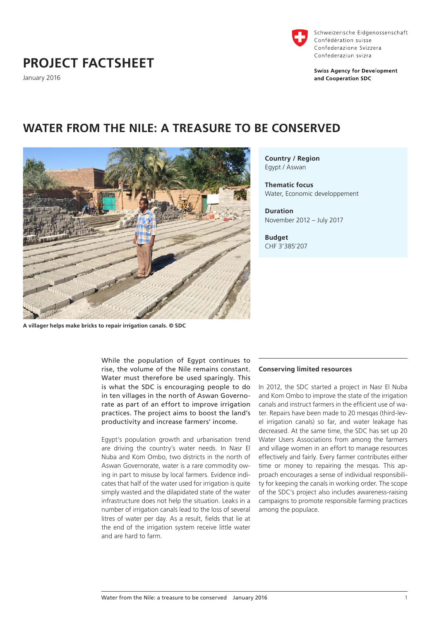# **PROJECT FACTSHEET**

January 2016



Schweizerische Eidgenossenschaft Confédération suisse Confederazione Svizzera Confederaziun svizra

**Swiss Agency for Development** and Cooperation SDC

**Country / Region** Egypt / Aswan

**Thematic focus** Water, Economic developpement

**Duration** November 2012 – July 2017

**Budget** CHF 3'385'207

**A villager helps make bricks to repair irrigation canals. © SDC**

While the population of Egypt continues to rise, the volume of the Nile remains constant. Water must therefore be used sparingly. This is what the SDC is encouraging people to do in ten villages in the north of Aswan Governorate as part of an effort to improve irrigation practices. The project aims to boost the land's productivity and increase farmers' income.

**WATER FROM THE NILE: A TREASURE TO BE CONSERVED**

Egypt's population growth and urbanisation trend are driving the country's water needs. In Nasr El Nuba and Kom Ombo, two districts in the north of Aswan Governorate, water is a rare commodity owing in part to misuse by local farmers. Evidence indicates that half of the water used for irrigation is quite simply wasted and the dilapidated state of the water infrastructure does not help the situation. Leaks in a number of irrigation canals lead to the loss of several litres of water per day. As a result, fields that lie at the end of the irrigation system receive little water and are hard to farm.

## **Conserving limited resources**

In 2012, the SDC started a project in Nasr El Nuba and Kom Ombo to improve the state of the irrigation canals and instruct farmers in the efficient use of water. Repairs have been made to 20 mesqas (third-level irrigation canals) so far, and water leakage has decreased. At the same time, the SDC has set up 20 Water Users Associations from among the farmers and village women in an effort to manage resources effectively and fairly. Every farmer contributes either time or money to repairing the mesqas. This approach encourages a sense of individual responsibility for keeping the canals in working order. The scope of the SDC's project also includes awareness-raising campaigns to promote responsible farming practices among the populace.